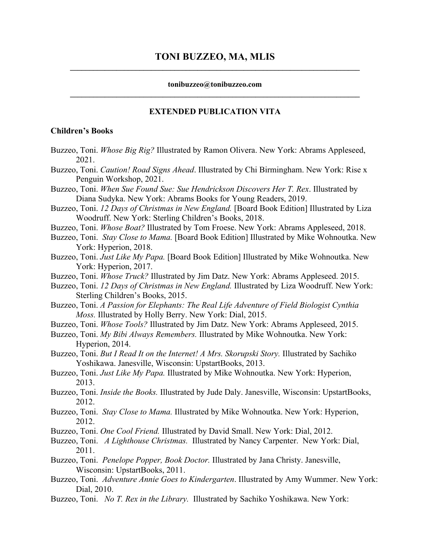### **tonibuzzeo@tonibuzzeo.com \_\_\_\_\_\_\_\_\_\_\_\_\_\_\_\_\_\_\_\_\_\_\_\_\_\_\_\_\_\_\_\_\_\_\_\_\_\_\_\_\_\_\_\_\_\_\_\_\_\_\_\_\_\_\_\_\_\_\_\_\_\_\_\_\_\_\_\_\_\_\_\_\_\_\_**

# **EXTENDED PUBLICATION VITA**

# **Children's Books**

- Buzzeo, Toni. *Whose Big Rig?* Illustrated by Ramon Olivera. New York: Abrams Appleseed, 2021.
- Buzzeo, Toni. *Caution! Road Signs Ahead*. Illustrated by Chi Birmingham. New York: Rise x Penguin Workshop, 2021.

Buzzeo, Toni. *When Sue Found Sue: Sue Hendrickson Discovers Her T. Rex*. Illustrated by Diana Sudyka. New York: Abrams Books for Young Readers, 2019.

- Buzzeo, Toni. *12 Days of Christmas in New England.* [Board Book Edition] Illustrated by Liza Woodruff. New York: Sterling Children's Books, 2018.
- Buzzeo, Toni. *Whose Boat?* Illustrated by Tom Froese. New York: Abrams Appleseed, 2018.
- Buzzeo, Toni. *Stay Close to Mama.* [Board Book Edition] Illustrated by Mike Wohnoutka. New York: Hyperion, 2018.
- Buzzeo, Toni. *Just Like My Papa.* [Board Book Edition] Illustrated by Mike Wohnoutka. New York: Hyperion, 2017.
- Buzzeo, Toni. *Whose Truck?* Illustrated by Jim Datz. New York: Abrams Appleseed. 2015.
- Buzzeo, Toni. *12 Days of Christmas in New England.* Illustrated by Liza Woodruff. New York: Sterling Children's Books, 2015.
- Buzzeo, Toni. *A Passion for Elephants: The Real Life Adventure of Field Biologist Cynthia Moss.* Illustrated by Holly Berry. New York: Dial, 2015.
- Buzzeo, Toni. *Whose Tools?* Illustrated by Jim Datz. New York: Abrams Appleseed, 2015.
- Buzzeo, Toni. *My Bibi Always Remembers.* Illustrated by Mike Wohnoutka. New York: Hyperion, 2014.
- Buzzeo, Toni. *But I Read It on the Internet! A Mrs. Skorupski Story.* Illustrated by Sachiko Yoshikawa. Janesville, Wisconsin: UpstartBooks, 2013.
- Buzzeo, Toni. *Just Like My Papa.* Illustrated by Mike Wohnoutka. New York: Hyperion, 2013.
- Buzzeo, Toni. *Inside the Books.* Illustrated by Jude Daly. Janesville, Wisconsin: UpstartBooks, 2012.
- Buzzeo, Toni. *Stay Close to Mama.* Illustrated by Mike Wohnoutka. New York: Hyperion, 2012.
- Buzzeo, Toni. *One Cool Friend.* Illustrated by David Small. New York: Dial, 2012.
- Buzzeo, Toni. *A Lighthouse Christmas.* Illustrated by Nancy Carpenter. New York: Dial, 2011.
- Buzzeo, Toni. *Penelope Popper, Book Doctor.* Illustrated by Jana Christy. Janesville, Wisconsin: UpstartBooks, 2011.
- Buzzeo, Toni. *Adventure Annie Goes to Kindergarten*. Illustrated by Amy Wummer. New York: Dial, 2010.
- Buzzeo, Toni. *No T. Rex in the Library.* Illustrated by Sachiko Yoshikawa. New York: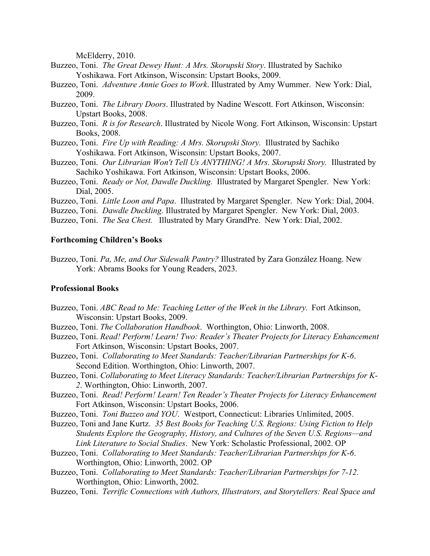McElderry, 2010.

- Buzzeo, Toni. *The Great Dewey Hunt: A Mrs. Skorupski Story*. Illustrated by Sachiko Yoshikawa. Fort Atkinson, Wisconsin: Upstart Books, 2009.
- Buzzeo, Toni. *Adventure Annie Goes to Work*. Illustrated by Amy Wummer. New York: Dial, 2009.
- Buzzeo, Toni. *The Library Doors*. Illustrated by Nadine Wescott. Fort Atkinson, Wisconsin: Upstart Books, 2008.
- Buzzeo, Toni. *R is for Research*. Illustrated by Nicole Wong. Fort Atkinson, Wisconsin: Upstart Books, 2008.
- Buzzeo, Toni. *Fire Up with Reading: A Mrs. Skorupski Story.* Illustrated by Sachiko Yoshikawa. Fort Atkinson, Wisconsin: Upstart Books, 2007.
- Buzzeo, Toni. *Our Librarian Won't Tell Us ANYTHING! A Mrs. Skorupski Story.* Illustrated by Sachiko Yoshikawa. Fort Atkinson, Wisconsin: Upstart Books, 2006.
- Buzzeo, Toni. *Ready or Not, Dawdle Duckling.* Illustrated by Margaret Spengler. New York: Dial, 2005.
- Buzzeo, Toni. *Little Loon and Papa*. Illustrated by Margaret Spengler. New York: Dial, 2004.
- Buzzeo, Toni. *Dawdle Duckling.* Illustrated by Margaret Spengler. New York: Dial, 2003.
- Buzzeo, Toni. *The Sea Chest.* Illustrated by Mary GrandPre. New York: Dial, 2002.

## **Forthcoming Children's Books**

Buzzeo, Toni. *Pa, Me, and Our Sidewalk Pantry?* Illustrated by Zara González Hoang. New York: Abrams Books for Young Readers, 2023.

#### **Professional Books**

- Buzzeo, Toni. *ABC Read to Me: Teaching Letter of the Week in the Library.* Fort Atkinson, Wisconsin: Upstart Books, 2009.
- Buzzeo, Toni. *The Collaboration Handbook*. Worthington, Ohio: Linworth, 2008.
- Buzzeo, Toni. *Read! Perform! Learn! Two: Reader's Theater Projects for Literacy Enhancement* Fort Atkinson, Wisconsin: Upstart Books, 2007.
- Buzzeo, Toni. *Collaborating to Meet Standards: Teacher/Librarian Partnerships for K-6*. Second Edition. Worthington, Ohio: Linworth, 2007.
- Buzzeo, Toni. *Collaborating to Meet Literacy Standards: Teacher/Librarian Partnerships for K-2*. Worthington, Ohio: Linworth, 2007.
- Buzzeo, Toni. *Read! Perform! Learn! Ten Reader's Theater Projects for Literacy Enhancement* Fort Atkinson, Wisconsin: Upstart Books, 2006.
- Buzzeo, Toni. *Toni Buzzeo and YOU*. Westport, Connecticut: Libraries Unlimited, 2005.
- Buzzeo, Toni and Jane Kurtz. *35 Best Books for Teaching U.S. Regions: Using Fiction to Help Students Explore the Geography, History, and Cultures of the Seven U.S. Regions—and Link Literature to Social Studies*. New York: Scholastic Professional, 2002. OP
- Buzzeo, Toni. *Collaborating to Meet Standards: Teacher/Librarian Partnerships for K-6*. Worthington, Ohio: Linworth, 2002. OP
- Buzzeo, Toni. *Collaborating to Meet Standards: Teacher/Librarian Partnerships for 7-12.* Worthington, Ohio: Linworth, 2002.
- Buzzeo, Toni. *Terrific Connections with Authors, Illustrators, and Storytellers: Real Space and*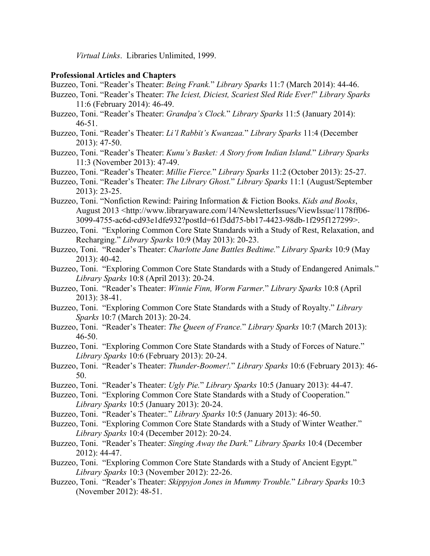*Virtual Links*. Libraries Unlimited, 1999.

# **Professional Articles and Chapters**

- Buzzeo, Toni. "Reader's Theater: *Being Frank.*" *Library Sparks* 11:7 (March 2014): 44-46.
- Buzzeo, Toni. "Reader's Theater: *The Iciest, Diciest, Scariest Sled Ride Ever!*" *Library Sparks* 11:6 (February 2014): 46-49.
- Buzzeo, Toni. "Reader's Theater: *Grandpa's Clock.*" *Library Sparks* 11:5 (January 2014): 46-51.
- Buzzeo, Toni. "Reader's Theater: *Li'l Rabbit's Kwanzaa.*" *Library Sparks* 11:4 (December 2013): 47-50.
- Buzzeo, Toni. "Reader's Theater: *Kunu's Basket: A Story from Indian Island.*" *Library Sparks* 11:3 (November 2013): 47-49.
- Buzzeo, Toni. "Reader's Theater: *Millie Fierce.*" *Library Sparks* 11:2 (October 2013): 25-27.
- Buzzeo, Toni. "Reader's Theater: *The Library Ghost.*" *Library Sparks* 11:1 (August/September 2013): 23-25.
- Buzzeo, Toni. "Nonfiction Rewind: Pairing Information & Fiction Books. *Kids and Books*, August 2013 <http://www.libraryaware.com/14/NewsletterIssues/ViewIssue/1178ff06- 3099-4755-ac6d-cd93e1dfe932?postId=61f3dd75-bb17-4423-98db-1f295f127299>.
- Buzzeo, Toni. "Exploring Common Core State Standards with a Study of Rest, Relaxation, and Recharging." *Library Sparks* 10:9 (May 2013): 20-23.
- Buzzeo, Toni. "Reader's Theater: *Charlotte Jane Battles Bedtime.*" *Library Sparks* 10:9 (May 2013): 40-42.
- Buzzeo, Toni. "Exploring Common Core State Standards with a Study of Endangered Animals." *Library Sparks* 10:8 (April 2013): 20-24.
- Buzzeo, Toni. "Reader's Theater: *Winnie Finn, Worm Farmer.*" *Library Sparks* 10:8 (April 2013): 38-41.
- Buzzeo, Toni. "Exploring Common Core State Standards with a Study of Royalty." *Library Sparks* 10:7 (March 2013): 20-24.
- Buzzeo, Toni. "Reader's Theater: *The Queen of France.*" *Library Sparks* 10:7 (March 2013): 46-50.
- Buzzeo, Toni. "Exploring Common Core State Standards with a Study of Forces of Nature." *Library Sparks* 10:6 (February 2013): 20-24.
- Buzzeo, Toni. "Reader's Theater: *Thunder-Boomer!.*" *Library Sparks* 10:6 (February 2013): 46- 50.
- Buzzeo, Toni. "Reader's Theater: *Ugly Pie.*" *Library Sparks* 10:5 (January 2013): 44-47.
- Buzzeo, Toni. "Exploring Common Core State Standards with a Study of Cooperation." *Library Sparks* 10:5 (January 2013): 20-24.
- Buzzeo, Toni. "Reader's Theater:*.*" *Library Sparks* 10:5 (January 2013): 46-50.
- Buzzeo, Toni. "Exploring Common Core State Standards with a Study of Winter Weather." *Library Sparks* 10:4 (December 2012): 20-24.
- Buzzeo, Toni. "Reader's Theater: *Singing Away the Dark.*" *Library Sparks* 10:4 (December 2012): 44-47.
- Buzzeo, Toni. "Exploring Common Core State Standards with a Study of Ancient Egypt." *Library Sparks* 10:3 (November 2012): 22-26.
- Buzzeo, Toni. "Reader's Theater: *Skippyjon Jones in Mummy Trouble.*" *Library Sparks* 10:3 (November 2012): 48-51.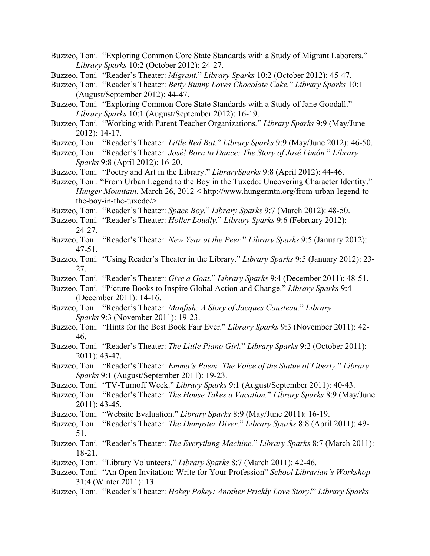- Buzzeo, Toni. "Exploring Common Core State Standards with a Study of Migrant Laborers." *Library Sparks* 10:2 (October 2012): 24-27.
- Buzzeo, Toni. "Reader's Theater: *Migrant.*" *Library Sparks* 10:2 (October 2012): 45-47.
- Buzzeo, Toni. "Reader's Theater: *Betty Bunny Loves Chocolate Cake.*" *Library Sparks* 10:1 (August/September 2012): 44-47.
- Buzzeo, Toni. "Exploring Common Core State Standards with a Study of Jane Goodall." *Library Sparks* 10:1 (August/September 2012): 16-19.
- Buzzeo, Toni. "Working with Parent Teacher Organizations*.*" *Library Sparks* 9:9 (May/June 2012): 14-17.
- Buzzeo, Toni. "Reader's Theater: *Little Red Bat.*" *Library Sparks* 9:9 (May/June 2012): 46-50.
- Buzzeo, Toni. "Reader's Theater: *José! Born to Dance: The Story of José Limón.*" *Library Sparks* 9:8 (April 2012): 16-20.
- Buzzeo, Toni. "Poetry and Art in the Library." *LibrarySparks* 9:8 (April 2012): 44-46.
- Buzzeo, Toni. "From Urban Legend to the Boy in the Tuxedo: Uncovering Character Identity." *Hunger Mountain*, March 26, 2012 < http://www.hungermtn.org/from-urban-legend-tothe-boy-in-the-tuxedo/>.
- Buzzeo, Toni. "Reader's Theater: *Space Boy.*" *Library Sparks* 9:7 (March 2012): 48-50.
- Buzzeo, Toni. "Reader's Theater: *Holler Loudly.*" *Library Sparks* 9:6 (February 2012): 24-27.
- Buzzeo, Toni. "Reader's Theater: *New Year at the Peer.*" *Library Sparks* 9:5 (January 2012): 47-51.
- Buzzeo, Toni. "Using Reader's Theater in the Library." *Library Sparks* 9:5 (January 2012): 23- 27.
- Buzzeo, Toni. "Reader's Theater: *Give a Goat.*" *Library Sparks* 9:4 (December 2011): 48-51.
- Buzzeo, Toni. "Picture Books to Inspire Global Action and Change." *Library Sparks* 9:4 (December 2011): 14-16.
- Buzzeo, Toni. "Reader's Theater: *Manfish: A Story of Jacques Cousteau.*" *Library Sparks* 9:3 (November 2011): 19-23.
- Buzzeo, Toni. "Hints for the Best Book Fair Ever." *Library Sparks* 9:3 (November 2011): 42- 46.
- Buzzeo, Toni. "Reader's Theater: *The Little Piano Girl.*" *Library Sparks* 9:2 (October 2011): 2011): 43-47.
- Buzzeo, Toni. "Reader's Theater: *Emma's Poem: The Voice of the Statue of Liberty.*" *Library Sparks* 9:1 (August/September 2011): 19-23.
- Buzzeo, Toni. "TV-Turnoff Week." *Library Sparks* 9:1 (August/September 2011): 40-43.
- Buzzeo, Toni. "Reader's Theater: *The House Takes a Vacation.*" *Library Sparks* 8:9 (May/June 2011): 43-45.
- Buzzeo, Toni. "Website Evaluation." *Library Sparks* 8:9 (May/June 2011): 16-19.
- Buzzeo, Toni. "Reader's Theater: *The Dumpster Diver.*" *Library Sparks* 8:8 (April 2011): 49- 51.
- Buzzeo, Toni. "Reader's Theater: *The Everything Machine.*" *Library Sparks* 8:7 (March 2011): 18-21.
- Buzzeo, Toni. "Library Volunteers." *Library Sparks* 8:7 (March 2011): 42-46.
- Buzzeo, Toni. "An Open Invitation: Write for Your Profession" *School Librarian's Workshop* 31:4 (Winter 2011): 13.
- Buzzeo, Toni. "Reader's Theater: *Hokey Pokey: Another Prickly Love Story!*" *Library Sparks*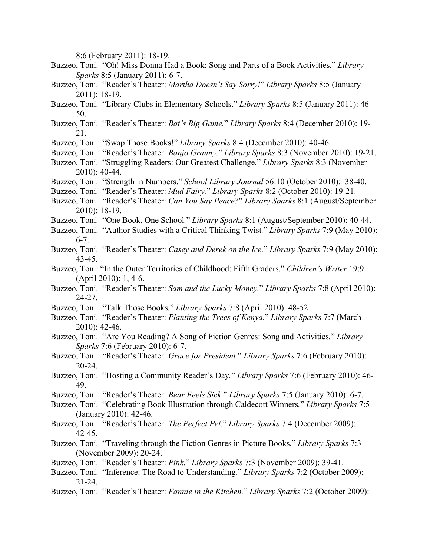8:6 (February 2011): 18-19.

- Buzzeo, Toni. "Oh! Miss Donna Had a Book: Song and Parts of a Book Activities*.*" *Library Sparks* 8:5 (January 2011): 6-7.
- Buzzeo, Toni. "Reader's Theater: *Martha Doesn't Say Sorry!*" *Library Sparks* 8:5 (January 2011): 18-19.
- Buzzeo, Toni. "Library Clubs in Elementary Schools." *Library Sparks* 8:5 (January 2011): 46- 50.
- Buzzeo, Toni. "Reader's Theater: *Bat's Big Game.*" *Library Sparks* 8:4 (December 2010): 19- 21.
- Buzzeo, Toni. "Swap Those Books!" *Library Sparks* 8:4 (December 2010): 40-46.
- Buzzeo, Toni. "Reader's Theater: *Banjo Granny.*" *Library Sparks* 8:3 (November 2010): 19-21.
- Buzzeo, Toni. "Struggling Readers: Our Greatest Challenge*.*" *Library Sparks* 8:3 (November 2010): 40-44.
- Buzzeo, Toni. "Strength in Numbers." *School Library Journal* 56:10 (October 2010): 38-40.
- Buzzeo, Toni. "Reader's Theater: *Mud Fairy.*" *Library Sparks* 8:2 (October 2010): 19-21.
- Buzzeo, Toni. "Reader's Theater: *Can You Say Peace?*" *Library Sparks* 8:1 (August/September 2010): 18-19.
- Buzzeo, Toni. "One Book, One School*.*" *Library Sparks* 8:1 (August/September 2010): 40-44.
- Buzzeo, Toni. "Author Studies with a Critical Thinking Twist*.*" *Library Sparks* 7:9 (May 2010): 6-7.
- Buzzeo, Toni. "Reader's Theater: *Casey and Derek on the Ice.*" *Library Sparks* 7:9 (May 2010): 43-45.
- Buzzeo, Toni. "In the Outer Territories of Childhood: Fifth Graders." *Children's Writer* 19:9 (April 2010): 1, 4-6.
- Buzzeo, Toni. "Reader's Theater: *Sam and the Lucky Money.*" *Library Sparks* 7:8 (April 2010): 24-27.
- Buzzeo, Toni. "Talk Those Books*.*" *Library Sparks* 7:8 (April 2010): 48-52.
- Buzzeo, Toni. "Reader's Theater: *Planting the Trees of Kenya.*" *Library Sparks* 7:7 (March 2010): 42-46.
- Buzzeo, Toni. "Are You Reading? A Song of Fiction Genres: Song and Activities*.*" *Library Sparks* 7:6 (February 2010): 6-7.
- Buzzeo, Toni. "Reader's Theater: *Grace for President.*" *Library Sparks* 7:6 (February 2010): 20-24.
- Buzzeo, Toni. "Hosting a Community Reader's Day*.*" *Library Sparks* 7:6 (February 2010): 46- 49.
- Buzzeo, Toni. "Reader's Theater: *Bear Feels Sick.*" *Library Sparks* 7:5 (January 2010): 6-7.
- Buzzeo, Toni. "Celebrating Book Illustration through Caldecott Winners*.*" *Library Sparks* 7:5 (January 2010): 42-46.
- Buzzeo, Toni. "Reader's Theater: *The Perfect Pet.*" *Library Sparks* 7:4 (December 2009): 42-45.
- Buzzeo, Toni. "Traveling through the Fiction Genres in Picture Books*.*" *Library Sparks* 7:3 (November 2009): 20-24.
- Buzzeo, Toni. "Reader's Theater: *Pink.*" *Library Sparks* 7:3 (November 2009): 39-41.
- Buzzeo, Toni. "Inference: The Road to Understanding*.*" *Library Sparks* 7:2 (October 2009): 21-24.
- Buzzeo, Toni. "Reader's Theater: *Fannie in the Kitchen.*" *Library Sparks* 7:2 (October 2009):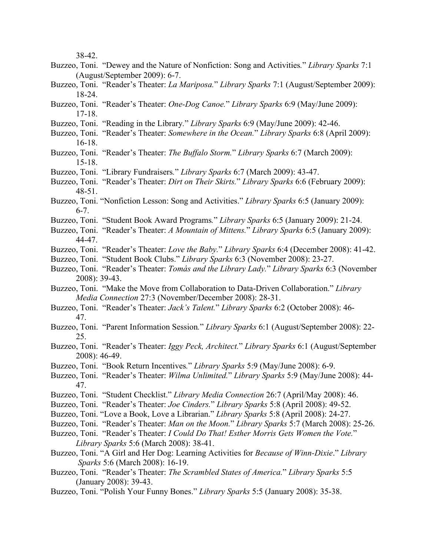38-42.

- Buzzeo, Toni. "Dewey and the Nature of Nonfiction: Song and Activities*.*" *Library Sparks* 7:1 (August/September 2009): 6-7.
- Buzzeo, Toni. "Reader's Theater: *La Mariposa.*" *Library Sparks* 7:1 (August/September 2009): 18-24.
- Buzzeo, Toni. "Reader's Theater: *One-Dog Canoe.*" *Library Sparks* 6:9 (May/June 2009): 17-18.
- Buzzeo, Toni. "Reading in the Library*.*" *Library Sparks* 6:9 (May/June 2009): 42-46.
- Buzzeo, Toni. "Reader's Theater: *Somewhere in the Ocean.*" *Library Sparks* 6:8 (April 2009): 16-18.
- Buzzeo, Toni. "Reader's Theater: *The Buffalo Storm.*" *Library Sparks* 6:7 (March 2009): 15-18.
- Buzzeo, Toni. "Library Fundraisers*.*" *Library Sparks* 6:7 (March 2009): 43-47.
- Buzzeo, Toni. "Reader's Theater: *Dirt on Their Skirts.*" *Library Sparks* 6:6 (February 2009): 48-51.
- Buzzeo, Toni. "Nonfiction Lesson: Song and Activities." *Library Sparks* 6:5 (January 2009): 6-7.
- Buzzeo, Toni. "Student Book Award Programs*.*" *Library Sparks* 6:5 (January 2009): 21-24.
- Buzzeo, Toni. "Reader's Theater: *A Mountain of Mittens.*" *Library Sparks* 6:5 (January 2009): 44-47.
- Buzzeo, Toni. "Reader's Theater: *Love the Baby.*" *Library Sparks* 6:4 (December 2008): 41-42.
- Buzzeo, Toni. "Student Book Clubs." *Library Sparks* 6:3 (November 2008): 23-27.
- Buzzeo, Toni. "Reader's Theater: *Tomás and the Library Lady.*" *Library Sparks* 6:3 (November 2008): 39-43.
- Buzzeo, Toni. "Make the Move from Collaboration to Data-Driven Collaboration." *Library Media Connection* 27:3 (November/December 2008): 28-31.
- Buzzeo, Toni. "Reader's Theater: *Jack's Talent.*" *Library Sparks* 6:2 (October 2008): 46- 47.
- Buzzeo, Toni. "Parent Information Session*.*" *Library Sparks* 6:1 (August/September 2008): 22- 25.
- Buzzeo, Toni. "Reader's Theater: *Iggy Peck, Architect.*" *Library Sparks* 6:1 (August/September 2008): 46-49.
- Buzzeo, Toni. "Book Return Incentives*.*" *Library Sparks* 5:9 (May/June 2008): 6-9.
- Buzzeo, Toni. "Reader's Theater: *Wilma Unlimited.*" *Library Sparks* 5:9 (May/June 2008): 44- 47.
- Buzzeo, Toni. "Student Checklist." *Library Media Connection* 26:7 (April/May 2008): 46.
- Buzzeo, Toni. "Reader's Theater: *Joe Cinders.*" *Library Sparks* 5:8 (April 2008): 49-52.
- Buzzeo, Toni. "Love a Book, Love a Librarian." *Library Sparks* 5:8 (April 2008): 24-27.
- Buzzeo, Toni. "Reader's Theater: *Man on the Moon.*" *Library Sparks* 5:7 (March 2008): 25-26.
- Buzzeo, Toni. "Reader's Theater: *I Could Do That! Esther Morris Gets Women the Vote.*" *Library Sparks* 5:6 (March 2008): 38-41.
- Buzzeo, Toni. "A Girl and Her Dog: Learning Activities for *Because of Winn-Dixie*." *Library Sparks* 5:6 (March 2008): 16-19.
- Buzzeo, Toni. "Reader's Theater: *The Scrambled States of America.*" *Library Sparks* 5:5 (January 2008): 39-43.
- Buzzeo, Toni. "Polish Your Funny Bones." *Library Sparks* 5:5 (January 2008): 35-38.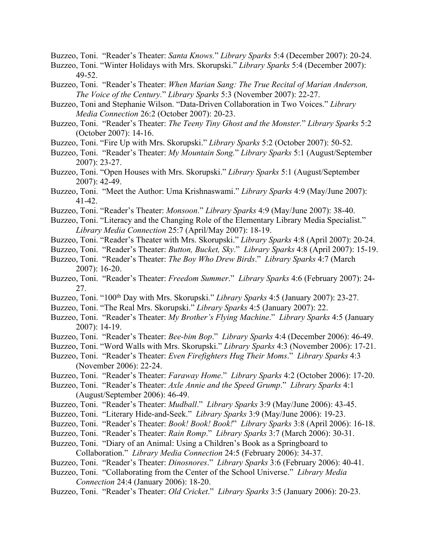Buzzeo, Toni. "Reader's Theater: *Santa Knows.*" *Library Sparks* 5:4 (December 2007): 20-24.

- Buzzeo, Toni. "Winter Holidays with Mrs. Skorupski." *Library Sparks* 5:4 (December 2007): 49-52.
- Buzzeo, Toni. "Reader's Theater: *When Marian Sang: The True Recital of Marian Anderson, The Voice of the Century.*" *Library Sparks* 5:3 (November 2007): 22-27.
- Buzzeo, Toni and Stephanie Wilson. "Data-Driven Collaboration in Two Voices." *Library Media Connection* 26:2 (October 2007): 20-23.
- Buzzeo, Toni. "Reader's Theater: *The Teeny Tiny Ghost and the Monster.*" *Library Sparks* 5:2 (October 2007): 14-16.
- Buzzeo, Toni. "Fire Up with Mrs. Skorupski." *Library Sparks* 5:2 (October 2007): 50-52.
- Buzzeo, Toni. "Reader's Theater: *My Mountain Song.*" *Library Sparks* 5:1 (August/September 2007): 23-27.
- Buzzeo, Toni. "Open Houses with Mrs. Skorupski." *Library Sparks* 5:1 (August/September 2007): 42-49.
- Buzzeo, Toni. "Meet the Author: Uma Krishnaswami." *Library Sparks* 4:9 (May/June 2007): 41-42.
- Buzzeo, Toni. "Reader's Theater: *Monsoon*." *Library Sparks* 4:9 (May/June 2007): 38-40.
- Buzzeo, Toni. "Literacy and the Changing Role of the Elementary Library Media Specialist." *Library Media Connection* 25:7 (April/May 2007): 18-19.
- Buzzeo, Toni. "Reader's Theater with Mrs. Skorupski." *Library Sparks* 4:8 (April 2007): 20-24.
- Buzzeo, Toni. "Reader's Theater: *Button, Bucket, Sky*." *Library Sparks* 4:8 (April 2007): 15-19.
- Buzzeo, Toni. "Reader's Theater: *The Boy Who Drew Birds*." *Library Sparks* 4:7 (March 2007): 16-20.
- Buzzeo, Toni. "Reader's Theater: *Freedom Summer*." *Library Sparks* 4:6 (February 2007): 24- 27.
- Buzzeo, Toni. "100<sup>th</sup> Day with Mrs. Skorupski." *Library Sparks* 4:5 (January 2007): 23-27.
- Buzzeo, Toni. "The Real Mrs. Skorupski." *Library Sparks* 4:5 (January 2007): 22.
- Buzzeo, Toni. "Reader's Theater: *My Brother's Flying Machine*." *Library Sparks* 4:5 (January 2007): 14-19.
- Buzzeo, Toni. "Reader's Theater: *Bee-bim Bop*." *Library Sparks* 4:4 (December 2006): 46-49.
- Buzzeo, Toni. "Word Walls with Mrs. Skorupski." *Library Sparks* 4:3 (November 2006): 17-21.
- Buzzeo, Toni. "Reader's Theater: *Even Firefighters Hug Their Moms*." *Library Sparks* 4:3 (November 2006): 22-24.
- Buzzeo, Toni. "Reader's Theater: *Faraway Home*." *Library Sparks* 4:2 (October 2006): 17-20.
- Buzzeo, Toni. "Reader's Theater: *Axle Annie and the Speed Grump*." *Library Sparks* 4:1 (August/September 2006): 46-49.
- Buzzeo, Toni. "Reader's Theater: *Mudball*." *Library Sparks* 3:9 (May/June 2006): 43-45.
- Buzzeo, Toni. "Literary Hide-and-Seek." *Library Sparks* 3:9 (May/June 2006): 19-23.
- Buzzeo, Toni. "Reader's Theater: *Book! Book! Book!*" *Library Sparks* 3:8 (April 2006): 16-18.
- Buzzeo, Toni. "Reader's Theater: *Rain Romp*." *Library Sparks* 3:7 (March 2006): 30-31.
- Buzzeo, Toni. "Diary of an Animal: Using a Children's Book as a Springboard to Collaboration." *Library Media Connection* 24:5 (February 2006): 34-37.
- Buzzeo, Toni. "Reader's Theater: *Dinosnores*." *Library Sparks* 3:6 (February 2006): 40-41.
- Buzzeo, Toni. "Collaborating from the Center of the School Universe." *Library Media Connection* 24:4 (January 2006): 18-20.
- Buzzeo, Toni. "Reader's Theater: *Old Cricket*." *Library Sparks* 3:5 (January 2006): 20-23.